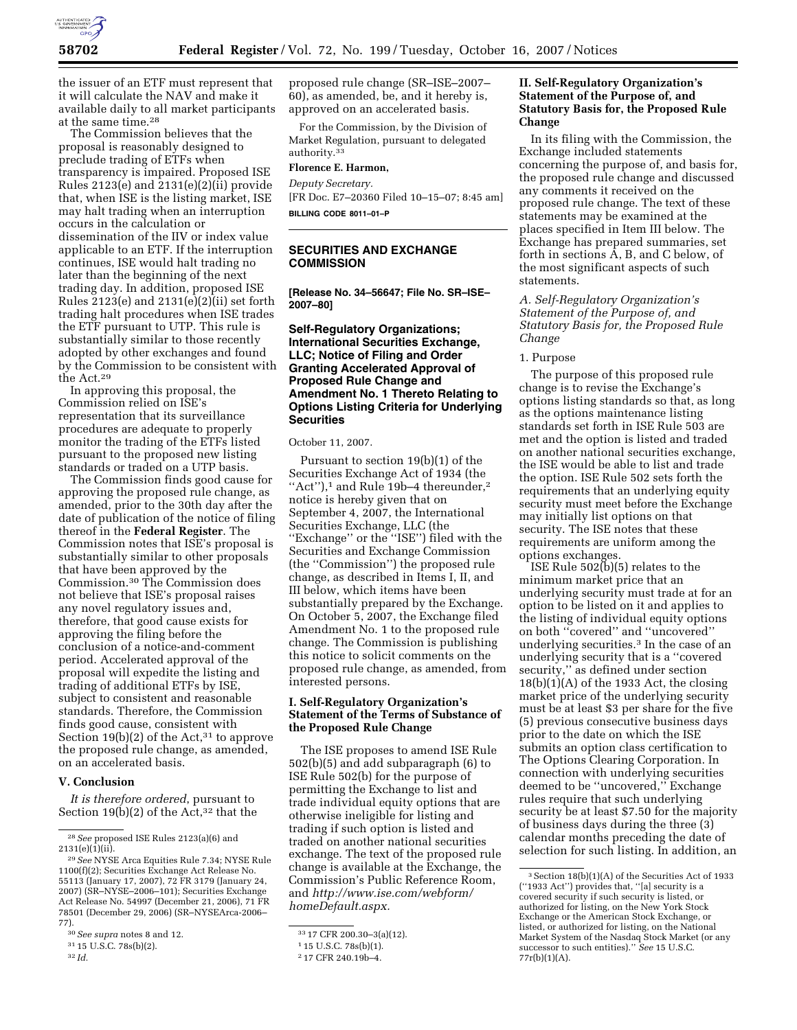

the issuer of an ETF must represent that it will calculate the NAV and make it available daily to all market participants at the same time.28

The Commission believes that the proposal is reasonably designed to preclude trading of ETFs when transparency is impaired. Proposed ISE Rules  $2123(e)$  and  $2131(e)(2)(ii)$  provide that, when ISE is the listing market, ISE may halt trading when an interruption occurs in the calculation or dissemination of the IIV or index value applicable to an ETF. If the interruption continues, ISE would halt trading no later than the beginning of the next trading day. In addition, proposed ISE Rules 2123(e) and 2131(e)(2)(ii) set forth trading halt procedures when ISE trades the ETF pursuant to UTP. This rule is substantially similar to those recently adopted by other exchanges and found by the Commission to be consistent with the Act.29

In approving this proposal, the Commission relied on ISE's representation that its surveillance procedures are adequate to properly monitor the trading of the ETFs listed pursuant to the proposed new listing standards or traded on a UTP basis.

The Commission finds good cause for approving the proposed rule change, as amended, prior to the 30th day after the date of publication of the notice of filing thereof in the **Federal Register**. The Commission notes that ISE's proposal is substantially similar to other proposals that have been approved by the Commission.30 The Commission does not believe that ISE's proposal raises any novel regulatory issues and, therefore, that good cause exists for approving the filing before the conclusion of a notice-and-comment period. Accelerated approval of the proposal will expedite the listing and trading of additional ETFs by ISE, subject to consistent and reasonable standards. Therefore, the Commission finds good cause, consistent with Section  $19(b)(2)$  of the Act,<sup>31</sup> to approve the proposed rule change, as amended, on an accelerated basis.

#### **V. Conclusion**

*It is therefore ordered*, pursuant to Section 19(b)(2) of the Act,  $32$  that the

proposed rule change (SR–ISE–2007– 60), as amended, be, and it hereby is, approved on an accelerated basis.

For the Commission, by the Division of Market Regulation, pursuant to delegated authority.33

#### **Florence E. Harmon,**

*Deputy Secretary.* 

[FR Doc. E7–20360 Filed 10–15–07; 8:45 am] **BILLING CODE 8011–01–P** 

# **SECURITIES AND EXCHANGE COMMISSION**

**[Release No. 34–56647; File No. SR–ISE– 2007–80]** 

## **Self-Regulatory Organizations; International Securities Exchange, LLC; Notice of Filing and Order Granting Accelerated Approval of Proposed Rule Change and Amendment No. 1 Thereto Relating to Options Listing Criteria for Underlying Securities**

#### October 11, 2007.

Pursuant to section 19(b)(1) of the Securities Exchange Act of 1934 (the "Act"), $1$  and Rule 19b-4 thereunder, $2$ notice is hereby given that on September 4, 2007, the International Securities Exchange, LLC (the ''Exchange'' or the ''ISE'') filed with the Securities and Exchange Commission (the ''Commission'') the proposed rule change, as described in Items I, II, and III below, which items have been substantially prepared by the Exchange. On October 5, 2007, the Exchange filed Amendment No. 1 to the proposed rule change. The Commission is publishing this notice to solicit comments on the proposed rule change, as amended, from interested persons.

#### **I. Self-Regulatory Organization's Statement of the Terms of Substance of the Proposed Rule Change**

The ISE proposes to amend ISE Rule 502(b)(5) and add subparagraph (6) to ISE Rule 502(b) for the purpose of permitting the Exchange to list and trade individual equity options that are otherwise ineligible for listing and trading if such option is listed and traded on another national securities exchange. The text of the proposed rule change is available at the Exchange, the Commission's Public Reference Room, and *http://www.ise.com/webform/ homeDefault.aspx.* 

## **II. Self-Regulatory Organization's Statement of the Purpose of, and Statutory Basis for, the Proposed Rule Change**

In its filing with the Commission, the Exchange included statements concerning the purpose of, and basis for, the proposed rule change and discussed any comments it received on the proposed rule change. The text of these statements may be examined at the places specified in Item III below. The Exchange has prepared summaries, set forth in sections A, B, and C below, of the most significant aspects of such statements.

*A. Self-Regulatory Organization's Statement of the Purpose of, and Statutory Basis for, the Proposed Rule Change* 

#### 1. Purpose

The purpose of this proposed rule change is to revise the Exchange's options listing standards so that, as long as the options maintenance listing standards set forth in ISE Rule 503 are met and the option is listed and traded on another national securities exchange, the ISE would be able to list and trade the option. ISE Rule 502 sets forth the requirements that an underlying equity security must meet before the Exchange may initially list options on that security. The ISE notes that these requirements are uniform among the options exchanges.

ISE Rule 502(b)(5) relates to the minimum market price that an underlying security must trade at for an option to be listed on it and applies to the listing of individual equity options on both ''covered'' and ''uncovered'' underlying securities.3 In the case of an underlying security that is a ''covered security,'' as defined under section  $18(b)(1)(A)$  of the 1933 Act, the closing market price of the underlying security must be at least \$3 per share for the five (5) previous consecutive business days prior to the date on which the ISE submits an option class certification to The Options Clearing Corporation. In connection with underlying securities deemed to be ''uncovered,'' Exchange rules require that such underlying security be at least \$7.50 for the majority of business days during the three (3) calendar months preceding the date of selection for such listing. In addition, an

<sup>28</sup>*See* proposed ISE Rules 2123(a)(6) and  $2131(e)(1)$ (ii).

<sup>29</sup>*See* NYSE Arca Equities Rule 7.34; NYSE Rule 1100(f)(2); Securities Exchange Act Release No. 55113 (January 17, 2007), 72 FR 3179 (January 24, 2007) (SR–NYSE–2006–101); Securities Exchange Act Release No. 54997 (December 21, 2006), 71 FR 78501 (December 29, 2006) (SR–NYSEArca-2006– 77).

<sup>30</sup>*See supra* notes 8 and 12.

<sup>31</sup> 15 U.S.C. 78s(b)(2).

<sup>32</sup> *Id.* 

<sup>33</sup> 17 CFR 200.30–3(a)(12).

<sup>1</sup> 15 U.S.C. 78s(b)(1).

<sup>2</sup> 17 CFR 240.19b–4.

<sup>3</sup>Section 18(b)(1)(A) of the Securities Act of 1933 (''1933 Act'') provides that, ''[a] security is a covered security if such security is listed, or authorized for listing, on the New York Stock Exchange or the American Stock Exchange, or listed, or authorized for listing, on the National Market System of the Nasdaq Stock Market (or any successor to such entities).'' *See* 15 U.S.C. 77r(b)(1)(A).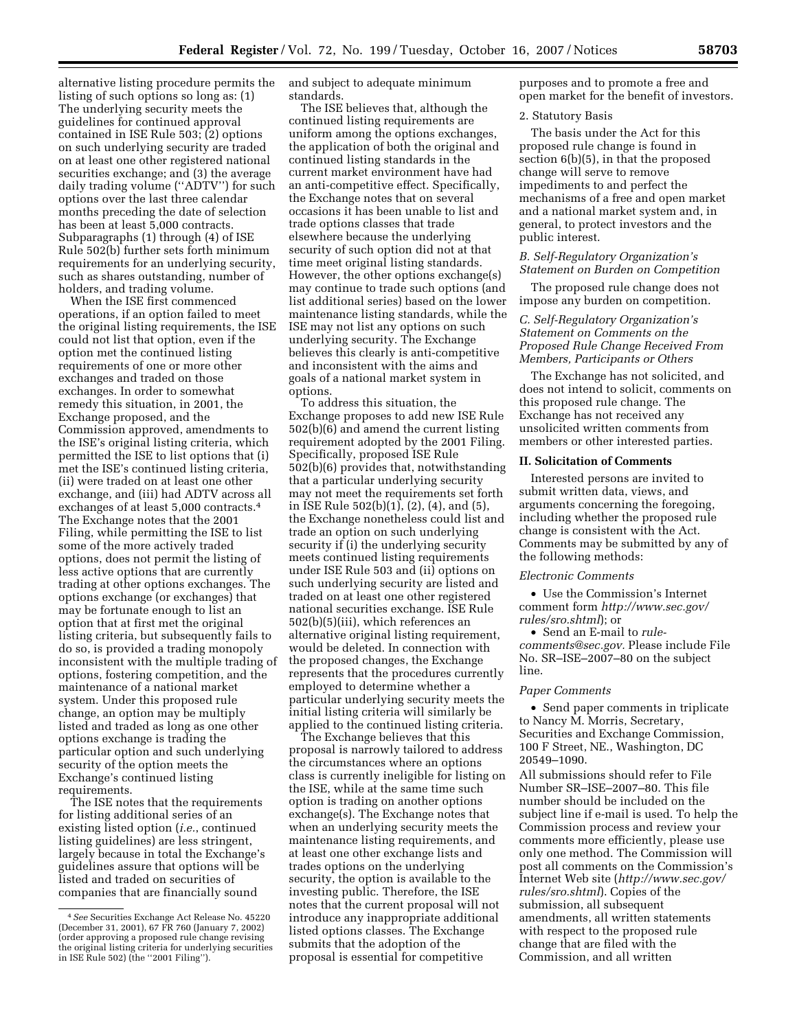alternative listing procedure permits the listing of such options so long as: (1) The underlying security meets the guidelines for continued approval contained in ISE Rule 503; (2) options on such underlying security are traded on at least one other registered national securities exchange; and (3) the average daily trading volume (''ADTV'') for such options over the last three calendar months preceding the date of selection has been at least 5,000 contracts. Subparagraphs (1) through (4) of ISE Rule 502(b) further sets forth minimum requirements for an underlying security, such as shares outstanding, number of holders, and trading volume.

When the ISE first commenced operations, if an option failed to meet the original listing requirements, the ISE could not list that option, even if the option met the continued listing requirements of one or more other exchanges and traded on those exchanges. In order to somewhat remedy this situation, in 2001, the Exchange proposed, and the Commission approved, amendments to the ISE's original listing criteria, which permitted the ISE to list options that (i) met the ISE's continued listing criteria, (ii) were traded on at least one other exchange, and (iii) had ADTV across all exchanges of at least 5,000 contracts.4 The Exchange notes that the 2001 Filing, while permitting the ISE to list some of the more actively traded options, does not permit the listing of less active options that are currently trading at other options exchanges. The options exchange (or exchanges) that may be fortunate enough to list an option that at first met the original listing criteria, but subsequently fails to do so, is provided a trading monopoly inconsistent with the multiple trading of options, fostering competition, and the maintenance of a national market system. Under this proposed rule change, an option may be multiply listed and traded as long as one other options exchange is trading the particular option and such underlying security of the option meets the Exchange's continued listing requirements.

The ISE notes that the requirements for listing additional series of an existing listed option (*i.e.*, continued listing guidelines) are less stringent, largely because in total the Exchange's guidelines assure that options will be listed and traded on securities of companies that are financially sound

and subject to adequate minimum standards.

The ISE believes that, although the continued listing requirements are uniform among the options exchanges, the application of both the original and continued listing standards in the current market environment have had an anti-competitive effect. Specifically, the Exchange notes that on several occasions it has been unable to list and trade options classes that trade elsewhere because the underlying security of such option did not at that time meet original listing standards. However, the other options exchange(s) may continue to trade such options (and list additional series) based on the lower maintenance listing standards, while the ISE may not list any options on such underlying security. The Exchange believes this clearly is anti-competitive and inconsistent with the aims and goals of a national market system in options.

To address this situation, the Exchange proposes to add new ISE Rule 502(b)(6) and amend the current listing requirement adopted by the 2001 Filing. Specifically, proposed ISE Rule 502(b)(6) provides that, notwithstanding that a particular underlying security may not meet the requirements set forth in ISE Rule 502(b)(1), (2), (4), and (5), the Exchange nonetheless could list and trade an option on such underlying security if (i) the underlying security meets continued listing requirements under ISE Rule 503 and (ii) options on such underlying security are listed and traded on at least one other registered national securities exchange. ISE Rule 502(b)(5)(iii), which references an alternative original listing requirement, would be deleted. In connection with the proposed changes, the Exchange represents that the procedures currently employed to determine whether a particular underlying security meets the initial listing criteria will similarly be applied to the continued listing criteria.

The Exchange believes that this proposal is narrowly tailored to address the circumstances where an options class is currently ineligible for listing on the ISE, while at the same time such option is trading on another options exchange(s). The Exchange notes that when an underlying security meets the maintenance listing requirements, and at least one other exchange lists and trades options on the underlying security, the option is available to the investing public. Therefore, the ISE notes that the current proposal will not introduce any inappropriate additional listed options classes. The Exchange submits that the adoption of the proposal is essential for competitive

purposes and to promote a free and open market for the benefit of investors.

### 2. Statutory Basis

The basis under the Act for this proposed rule change is found in section 6(b)(5), in that the proposed change will serve to remove impediments to and perfect the mechanisms of a free and open market and a national market system and, in general, to protect investors and the public interest.

## *B. Self-Regulatory Organization's Statement on Burden on Competition*

The proposed rule change does not impose any burden on competition.

## *C. Self-Regulatory Organization's Statement on Comments on the Proposed Rule Change Received From Members, Participants or Others*

The Exchange has not solicited, and does not intend to solicit, comments on this proposed rule change. The Exchange has not received any unsolicited written comments from members or other interested parties.

#### **II. Solicitation of Comments**

Interested persons are invited to submit written data, views, and arguments concerning the foregoing, including whether the proposed rule change is consistent with the Act. Comments may be submitted by any of the following methods:

## *Electronic Comments*

• Use the Commission's Internet comment form *http://www.sec.gov/ rules/sro.shtml*); or

• Send an E-mail to *rulecomments@sec.gov.* Please include File No. SR–ISE–2007–80 on the subject line.

#### *Paper Comments*

• Send paper comments in triplicate to Nancy M. Morris, Secretary, Securities and Exchange Commission, 100 F Street, NE., Washington, DC 20549–1090.

All submissions should refer to File Number SR–ISE–2007–80. This file number should be included on the subject line if e-mail is used. To help the Commission process and review your comments more efficiently, please use only one method. The Commission will post all comments on the Commission's Internet Web site (*http://www.sec.gov/ rules/sro.shtml*). Copies of the submission, all subsequent amendments, all written statements with respect to the proposed rule change that are filed with the Commission, and all written

<sup>4</sup>*See* Securities Exchange Act Release No. 45220 (December 31, 2001), 67 FR 760 (January 7, 2002) (order approving a proposed rule change revising the original listing criteria for underlying securities in ISE Rule 502) (the ''2001 Filing'').